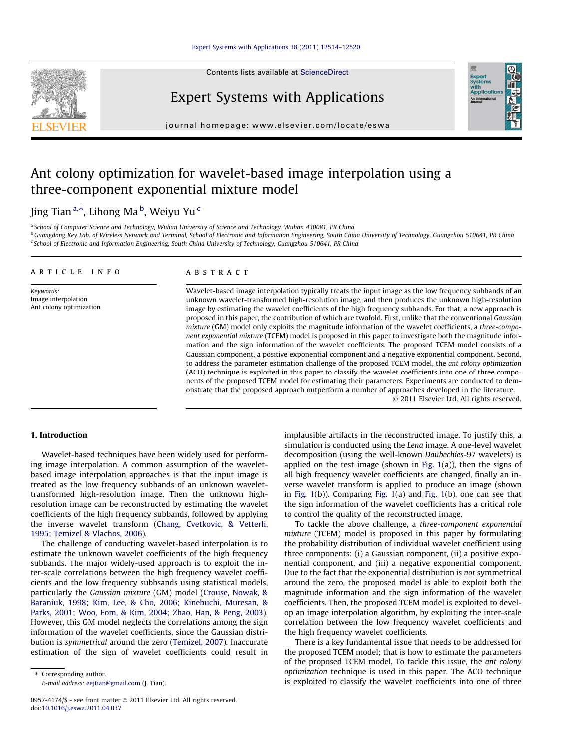#### [Expert Systems with Applications 38 \(2011\) 12514–12520](http://dx.doi.org/10.1016/j.eswa.2011.04.037)

Contents lists available at [ScienceDirect](http://www.sciencedirect.com/science/journal/09574174)



Expert Systems with Applications

journal homepage: [www.elsevier.com/locate/eswa](http://www.elsevier.com/locate/eswa)

## Ant colony optimization for wavelet-based image interpolation using a three-component exponential mixture model

### Jing Tian <sup>a,</sup>\*, Lihong Ma <sup>b</sup>, Weiyu Yu <sup>c</sup>

a School of Computer Science and Technology, Wuhan University of Science and Technology, Wuhan 430081, PR China

<sup>b</sup> Guangdong Key Lab. of Wireless Network and Terminal, School of Electronic and Information Engineering, South China University of Technology, Guangzhou 510641, PR China <sup>c</sup> School of Electronic and Information Engineering, South China University of Technology, Guangzhou 510641, PR China

#### article info

Keywords: Image interpolation Ant colony optimization

#### ABSTRACT

Wavelet-based image interpolation typically treats the input image as the low frequency subbands of an unknown wavelet-transformed high-resolution image, and then produces the unknown high-resolution image by estimating the wavelet coefficients of the high frequency subbands. For that, a new approach is proposed in this paper, the contribution of which are twofold. First, unlike that the conventional Gaussian mixture (GM) model only exploits the magnitude information of the wavelet coefficients, a three-component exponential mixture (TCEM) model is proposed in this paper to investigate both the magnitude information and the sign information of the wavelet coefficients. The proposed TCEM model consists of a Gaussian component, a positive exponential component and a negative exponential component. Second, to address the parameter estimation challenge of the proposed TCEM model, the ant colony optimization (ACO) technique is exploited in this paper to classify the wavelet coefficients into one of three components of the proposed TCEM model for estimating their parameters. Experiments are conducted to demonstrate that the proposed approach outperform a number of approaches developed in the literature.

- 2011 Elsevier Ltd. All rights reserved.

Exper<br>Syster

#### 1. Introduction

Wavelet-based techniques have been widely used for performing image interpolation. A common assumption of the waveletbased image interpolation approaches is that the input image is treated as the low frequency subbands of an unknown wavelettransformed high-resolution image. Then the unknown highresolution image can be reconstructed by estimating the wavelet coefficients of the high frequency subbands, followed by applying the inverse wavelet transform [\(Chang, Cvetkovic, & Vetterli,](#page--1-0) [1995; Temizel & Vlachos, 2006\)](#page--1-0).

The challenge of conducting wavelet-based interpolation is to estimate the unknown wavelet coefficients of the high frequency subbands. The major widely-used approach is to exploit the inter-scale correlations between the high frequency wavelet coefficients and the low frequency subbsands using statistical models, particularly the Gaussian mixture (GM) model ([Crouse, Nowak, &](#page--1-0) [Baraniuk, 1998; Kim, Lee, & Cho, 2006; Kinebuchi, Muresan, &](#page--1-0) [Parks, 2001; Woo, Eom, & Kim, 2004; Zhao, Han, & Peng, 2003\)](#page--1-0). However, this GM model neglects the correlations among the sign information of the wavelet coefficients, since the Gaussian distribution is symmetrical around the zero [\(Temizel, 2007\)](#page--1-0). Inaccurate estimation of the sign of wavelet coefficients could result in

⇑ Corresponding author. E-mail address: [eejtian@gmail.com](mailto:eejtian@gmail.com) (J. Tian). implausible artifacts in the reconstructed image. To justify this, a simulation is conducted using the Lena image. A one-level wavelet decomposition (using the well-known Daubechies-97 wavelets) is applied on the test image (shown in Fig.  $1(a)$ ), then the signs of all high frequency wavelet coefficients are changed, finally an inverse wavelet transform is applied to produce an image (shown in [Fig. 1\(](#page-1-0)b)). Comparing [Fig. 1](#page-1-0)(a) and [Fig. 1\(](#page-1-0)b), one can see that the sign information of the wavelet coefficients has a critical role to control the quality of the reconstructed image.

To tackle the above challenge, a three-component exponential mixture (TCEM) model is proposed in this paper by formulating the probability distribution of individual wavelet coefficient using three components: (i) a Gaussian component, (ii) a positive exponential component, and (iii) a negative exponential component. Due to the fact that the exponential distribution is not symmetrical around the zero, the proposed model is able to exploit both the magnitude information and the sign information of the wavelet coefficients. Then, the proposed TCEM model is exploited to develop an image interpolation algorithm, by exploiting the inter-scale correlation between the low frequency wavelet coefficients and the high frequency wavelet coefficients.

There is a key fundamental issue that needs to be addressed for the proposed TCEM model; that is how to estimate the parameters of the proposed TCEM model. To tackle this issue, the ant colony optimization technique is used in this paper. The ACO technique is exploited to classify the wavelet coefficients into one of three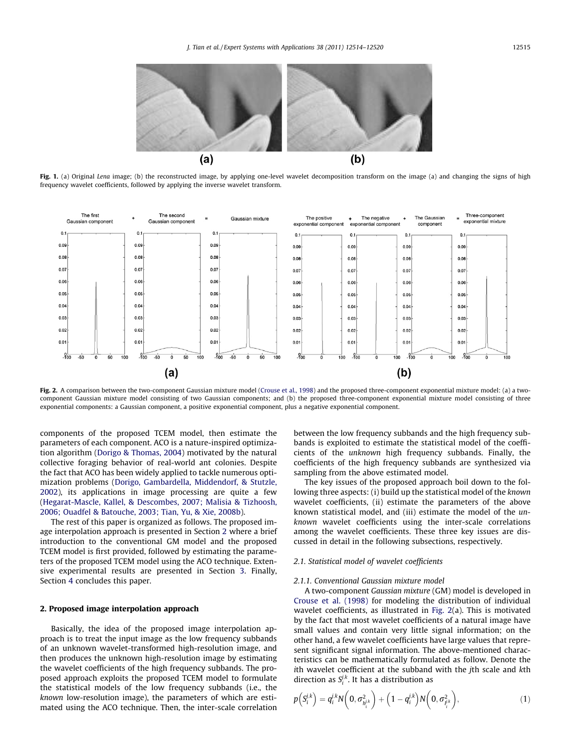<span id="page-1-0"></span>

Fig. 1. (a) Original Lena image; (b) the reconstructed image, by applying one-level wavelet decomposition transform on the image (a) and changing the signs of high frequency wavelet coefficients, followed by applying the inverse wavelet transform.



Fig. 2. A comparison between the two-component Gaussian mixture model [\(Crouse et al., 1998](#page--1-0)) and the proposed three-component exponential mixture model: (a) a twocomponent Gaussian mixture model consisting of two Gaussian components; and (b) the proposed three-component exponential mixture model consisting of three exponential components: a Gaussian component, a positive exponential component, plus a negative exponential component.

components of the proposed TCEM model, then estimate the parameters of each component. ACO is a nature-inspired optimization algorithm [\(Dorigo & Thomas, 2004\)](#page--1-0) motivated by the natural collective foraging behavior of real-world ant colonies. Despite the fact that ACO has been widely applied to tackle numerous optimization problems ([Dorigo, Gambardella, Middendorf, & Stutzle,](#page--1-0) [2002](#page--1-0)), its applications in image processing are quite a few ([Hegarat-Mascle, Kallel, & Descombes, 2007; Malisia & Tizhoosh,](#page--1-0) [2006; Ouadfel & Batouche, 2003; Tian, Yu, & Xie, 2008b](#page--1-0)).

The rest of this paper is organized as follows. The proposed image interpolation approach is presented in Section 2 where a brief introduction to the conventional GM model and the proposed TCEM model is first provided, followed by estimating the parameters of the proposed TCEM model using the ACO technique. Extensive experimental results are presented in Section [3](#page--1-0). Finally, Section [4](#page--1-0) concludes this paper.

#### 2. Proposed image interpolation approach

Basically, the idea of the proposed image interpolation approach is to treat the input image as the low frequency subbands of an unknown wavelet-transformed high-resolution image, and then produces the unknown high-resolution image by estimating the wavelet coefficients of the high frequency subbands. The proposed approach exploits the proposed TCEM model to formulate the statistical models of the low frequency subbands (i.e., the known low-resolution image), the parameters of which are estimated using the ACO technique. Then, the inter-scale correlation between the low frequency subbands and the high frequency subbands is exploited to estimate the statistical model of the coefficients of the unknown high frequency subbands. Finally, the coefficients of the high frequency subbands are synthesized via sampling from the above estimated model.

The key issues of the proposed approach boil down to the following three aspects: (i) build up the statistical model of the known wavelet coefficients, (ii) estimate the parameters of the above known statistical model, and (iii) estimate the model of the unknown wavelet coefficients using the inter-scale correlations among the wavelet coefficients. These three key issues are discussed in detail in the following subsections, respectively.

#### 2.1. Statistical model of wavelet coefficients

#### 2.1.1. Conventional Gaussian mixture model

A two-component Gaussian mixture (GM) model is developed in [Crouse et al. \(1998\)](#page--1-0) for modeling the distribution of individual wavelet coefficients, as illustrated in Fig. 2(a). This is motivated by the fact that most wavelet coefficients of a natural image have small values and contain very little signal information; on the other hand, a few wavelet coefficients have large values that represent significant signal information. The above-mentioned characteristics can be mathematically formulated as follow. Denote the ith wavelet coefficient at the subband with the jth scale and kth direction as  $S_i^{j,k}$ . It has a distribution as

$$
p(S_i^{j,k}) = q_i^{j,k} N\left(0, \sigma_{h_i^{j,k}}^2\right) + \left(1 - q_i^{j,k}\right) N\left(0, \sigma_{h_i^{j,k}}^2\right), \tag{1}
$$